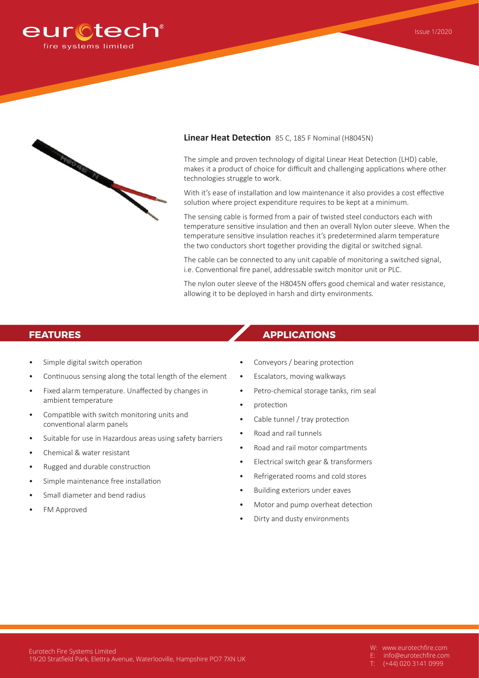



## **Linear Heat Detection** 85 C, 185 F Nominal (H8045N)

The simple and proven technology of digital Linear Heat Detection (LHD) cable, makes it a product of choice for difficult and challenging applications where other technologies struggle to work.

With it's ease of installation and low maintenance it also provides a cost effective solution where project expenditure requires to be kept at a minimum.

The sensing cable is formed from a pair of twisted steel conductors each with temperature sensitive insulation and then an overall Nylon outer sleeve. When the temperature sensitive insulation reaches it's predetermined alarm temperature the two conductors short together providing the digital or switched signal.

The cable can be connected to any unit capable of monitoring a switched signal, i.e. Conventional fire panel, addressable switch monitor unit or PLC.

The nylon outer sleeve of the H8045N offers good chemical and water resistance, allowing it to be deployed in harsh and dirty environments.

- Simple digital switch operation
- Continuous sensing along the total length of the element
- Fixed alarm temperature. Unaffected by changes in ambient temperature
- Compatible with switch monitoring units and conventional alarm panels
- Suitable for use in Hazardous areas using safety barriers
- Chemical & water resistant
- Rugged and durable construction
- Simple maintenance free installation
- Small diameter and bend radius
- FM Approved

# **FEATURES APPLICATIONS**

- Conveyors / bearing protection
- Escalators, moving walkways
- Petro-chemical storage tanks, rim seal
- protection
- Cable tunnel / tray protection
- Road and rail tunnels
- Road and rail motor compartments
- Electrical switch gear & transformers
- Refrigerated rooms and cold stores
- Building exteriors under eaves
- Motor and pump overheat detection
- Dirty and dusty environments

- W: www.eurotechfire.com
- E: info@eurotechfire.com
- (+44) 020 3141 0999